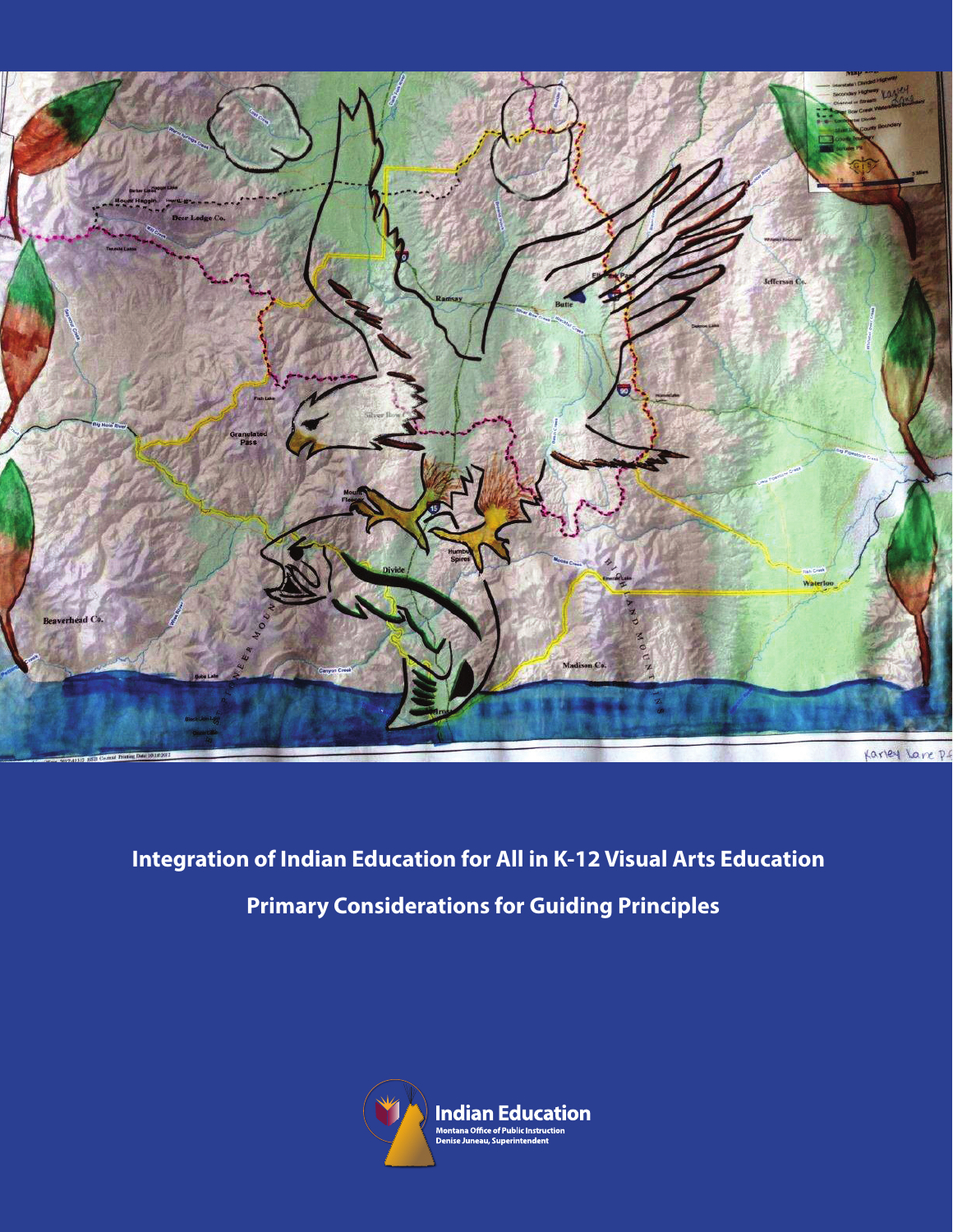

# **Integration of Indian Education for All in K-12 Visual Arts Education Primary Considerations for Guiding Principles**

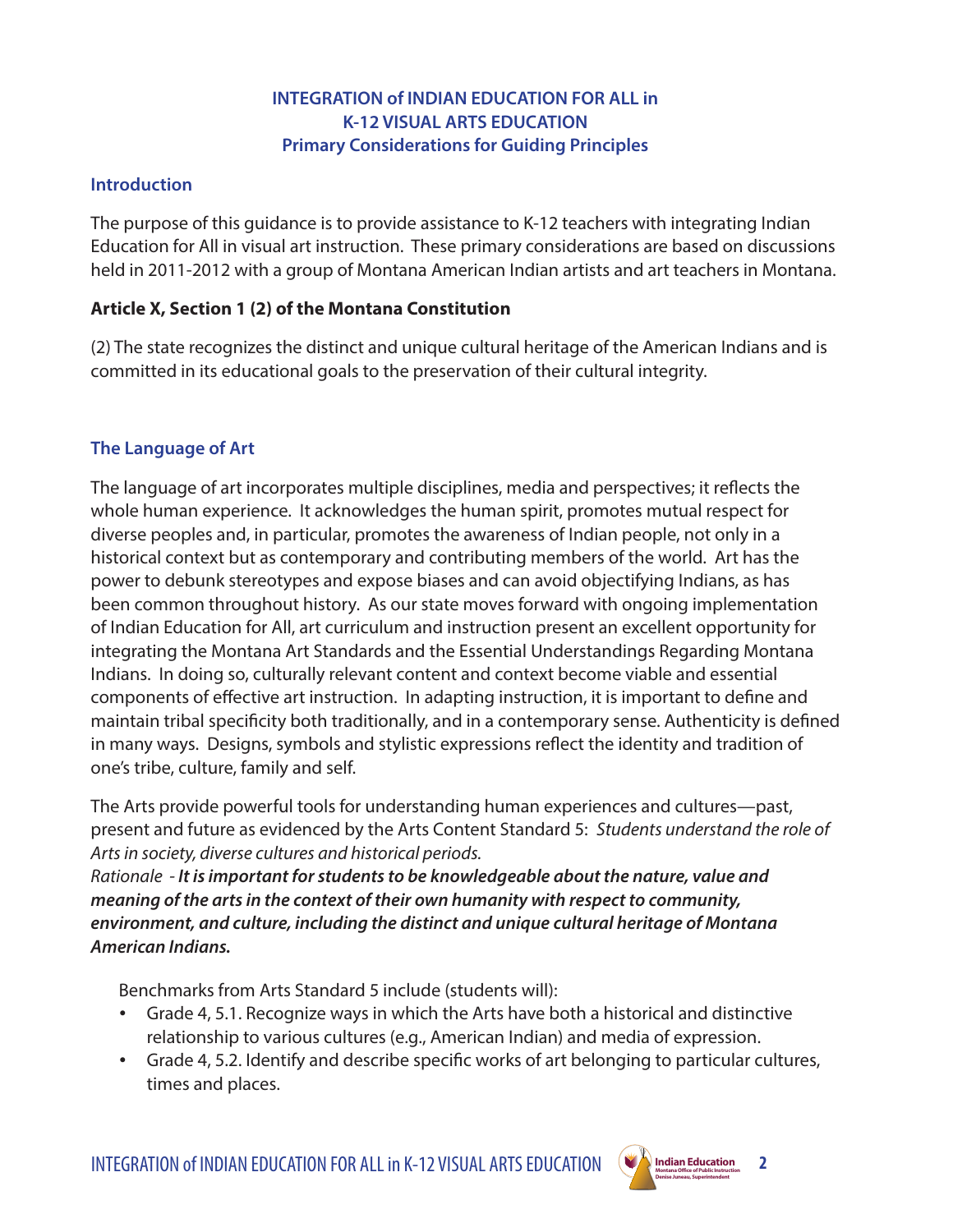## **INTEGRATION of INDIAN EDUCATION FOR ALL in K-12 VISUAL ARTS EDUCATION Primary Considerations for Guiding Principles**

## **Introduction**

The purpose of this guidance is to provide assistance to K-12 teachers with integrating Indian Education for All in visual art instruction. These primary considerations are based on discussions held in 2011-2012 with a group of Montana American Indian artists and art teachers in Montana.

# **Article X, Section 1 (2) of the Montana Constitution**

(2) The state recognizes the distinct and unique cultural heritage of the American Indians and is committed in its educational goals to the preservation of their cultural integrity.

# **The Language of Art**

The language of art incorporates multiple disciplines, media and perspectives; it reflects the whole human experience. It acknowledges the human spirit, promotes mutual respect for diverse peoples and, in particular, promotes the awareness of Indian people, not only in a historical context but as contemporary and contributing members of the world. Art has the power to debunk stereotypes and expose biases and can avoid objectifying Indians, as has been common throughout history. As our state moves forward with ongoing implementation of Indian Education for All, art curriculum and instruction present an excellent opportunity for integrating the Montana Art Standards and the Essential Understandings Regarding Montana Indians. In doing so, culturally relevant content and context become viable and essential components of effective art instruction. In adapting instruction, it is important to define and maintain tribal specificity both traditionally, and in a contemporary sense. Authenticity is defined in many ways. Designs, symbols and stylistic expressions reflect the identity and tradition of one's tribe, culture, family and self.

The Arts provide powerful tools for understanding human experiences and cultures—past, present and future as evidenced by the Arts Content Standard 5: *Students understand the role of Arts in society, diverse cultures and historical periods.* 

*Rationale - It is important for students to be knowledgeable about the nature, value and meaning of the arts in the context of their own humanity with respect to community, environment, and culture, including the distinct and unique cultural heritage of Montana American Indians.*

Benchmarks from Arts Standard 5 include (students will):

- • Grade 4, 5.1. Recognize ways in which the Arts have both a historical and distinctive relationship to various cultures (e.g., American Indian) and media of expression.
- Grade 4, 5.2. Identify and describe specific works of art belonging to particular cultures, times and places.

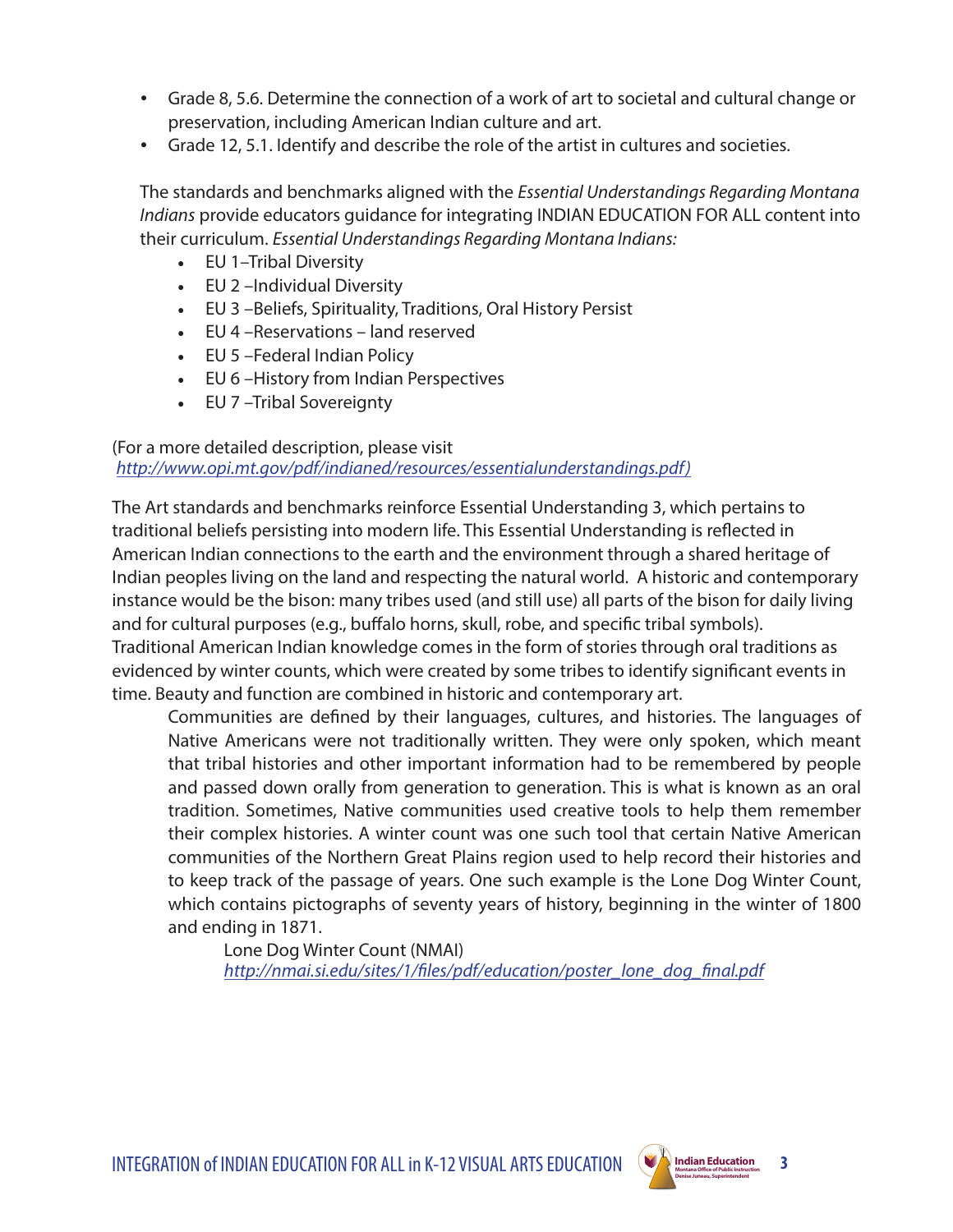- • Grade 8, 5.6. Determine the connection of a work of art to societal and cultural change or preservation, including American Indian culture and art.
- • Grade 12, 5.1. Identify and describe the role of the artist in cultures and societies.

The standards and benchmarks aligned with the *Essential Understandings Regarding Montana Indians* provide educators guidance for integrating INDIAN EDUCATION FOR ALL content into their curriculum. *Essential Understandings Regarding Montana Indians:* 

- EU 1–Tribal Diversity
- EU 2 –Individual Diversity
- EU 3 –Beliefs, Spirituality, Traditions, Oral History Persist
- EU 4 –Reservations land reserved
- EU 5 –Federal Indian Policy
- EU 6 –History from Indian Perspectives
- EU 7 –Tribal Sovereignty

#### (For a more detailed description, please visit *[http://www.opi.mt.gov/pdf/indianed/resources/essentialunderstandings.pdf\)](http://www.opi.mt.gov/pdf/indianed/resources/essentialunderstandings.pdf)*

The Art standards and benchmarks reinforce Essential Understanding 3, which pertains to traditional beliefs persisting into modern life. This Essential Understanding is reflected in American Indian connections to the earth and the environment through a shared heritage of Indian peoples living on the land and respecting the natural world. A historic and contemporary instance would be the bison: many tribes used (and still use) all parts of the bison for daily living and for cultural purposes (e.g., buffalo horns, skull, robe, and specific tribal symbols). Traditional American Indian knowledge comes in the form of stories through oral traditions as evidenced by winter counts, which were created by some tribes to identify significant events in time. Beauty and function are combined in historic and contemporary art.

Communities are defined by their languages, cultures, and histories. The languages of Native Americans were not traditionally written. They were only spoken, which meant that tribal histories and other important information had to be remembered by people and passed down orally from generation to generation. This is what is known as an oral tradition. Sometimes, Native communities used creative tools to help them remember their complex histories. A winter count was one such tool that certain Native American communities of the Northern Great Plains region used to help record their histories and to keep track of the passage of years. One such example is the Lone Dog Winter Count, which contains pictographs of seventy years of history, beginning in the winter of 1800 and ending in 1871.

Lone Dog Winter Count (NMAI) *[http://nmai.si.edu/sites/1/files/pdf/education/poster\\_lone\\_dog\\_final.pdf](http://nmai.si.edu/sites/1/files/pdf/education/poster_lone_dog_final.pdf)*



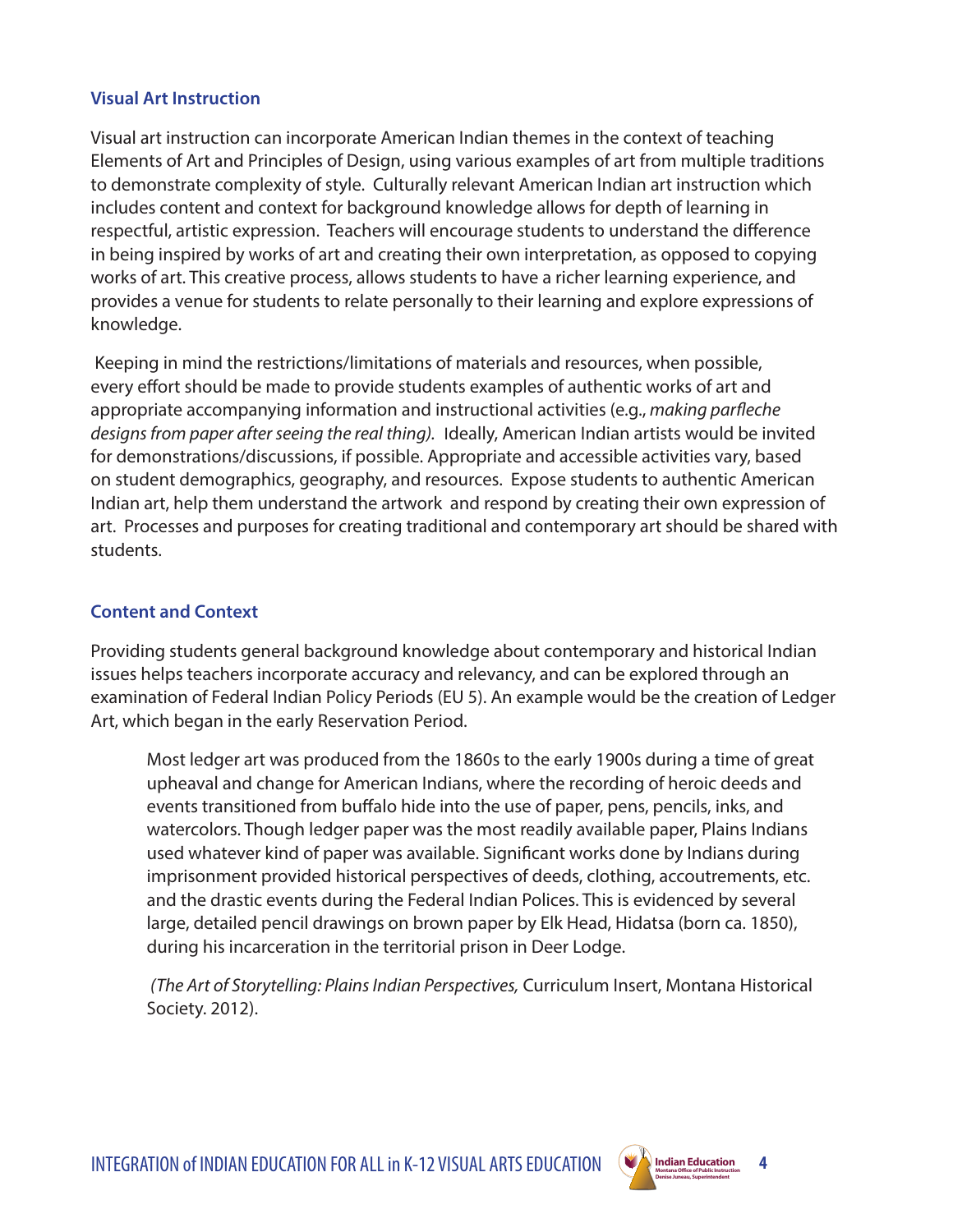#### **Visual Art Instruction**

Visual art instruction can incorporate American Indian themes in the context of teaching Elements of Art and Principles of Design, using various examples of art from multiple traditions to demonstrate complexity of style. Culturally relevant American Indian art instruction which includes content and context for background knowledge allows for depth of learning in respectful, artistic expression. Teachers will encourage students to understand the difference in being inspired by works of art and creating their own interpretation, as opposed to copying works of art. This creative process, allows students to have a richer learning experience, and provides a venue for students to relate personally to their learning and explore expressions of knowledge.

 Keeping in mind the restrictions/limitations of materials and resources, when possible, every effort should be made to provide students examples of authentic works of art and appropriate accompanying information and instructional activities (e.g., *making parfleche designs from paper after seeing the real thing).* Ideally, American Indian artists would be invited for demonstrations/discussions, if possible. Appropriate and accessible activities vary, based on student demographics, geography, and resources. Expose students to authentic American Indian art, help them understand the artwork and respond by creating their own expression of art. Processes and purposes for creating traditional and contemporary art should be shared with students.

## **Content and Context**

Providing students general background knowledge about contemporary and historical Indian issues helps teachers incorporate accuracy and relevancy, and can be explored through an examination of Federal Indian Policy Periods (EU 5). An example would be the creation of Ledger Art, which began in the early Reservation Period.

Most ledger art was produced from the 1860s to the early 1900s during a time of great upheaval and change for American Indians, where the recording of heroic deeds and events transitioned from buffalo hide into the use of paper, pens, pencils, inks, and watercolors. Though ledger paper was the most readily available paper, Plains Indians used whatever kind of paper was available. Significant works done by Indians during imprisonment provided historical perspectives of deeds, clothing, accoutrements, etc. and the drastic events during the Federal Indian Polices. This is evidenced by several large, detailed pencil drawings on brown paper by Elk Head, Hidatsa (born ca. 1850), during his incarceration in the territorial prison in Deer Lodge.

 *(The Art of Storytelling: Plains Indian Perspectives,* Curriculum Insert, Montana Historical Society. 2012).

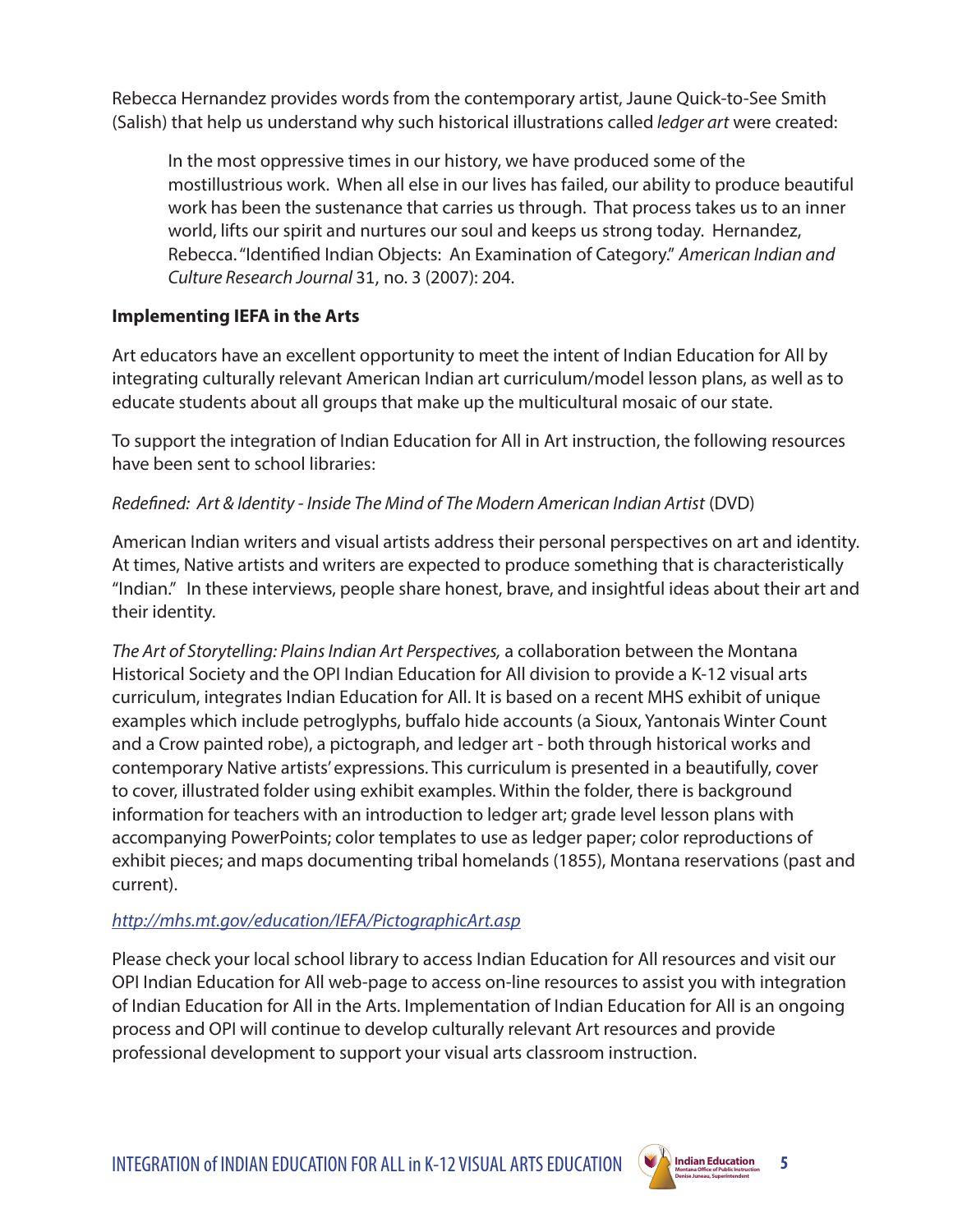Rebecca Hernandez provides words from the contemporary artist, Jaune Quick-to-See Smith (Salish) that help us understand why such historical illustrations called *ledger art* were created:

In the most oppressive times in our history, we have produced some of the mostillustrious work. When all else in our lives has failed, our ability to produce beautiful work has been the sustenance that carries us through. That process takes us to an inner world, lifts our spirit and nurtures our soul and keeps us strong today. Hernandez, Rebecca. "Identified Indian Objects: An Examination of Category." *American Indian and Culture Research Journal* 31, no. 3 (2007): 204.

## **Implementing IEFA in the Arts**

Art educators have an excellent opportunity to meet the intent of Indian Education for All by integrating culturally relevant American Indian art curriculum/model lesson plans, as well as to educate students about all groups that make up the multicultural mosaic of our state.

To support the integration of Indian Education for All in Art instruction, the following resources have been sent to school libraries:

#### *Redefined: Art & Identity - Inside The Mind of The Modern American Indian Artist* (DVD)

American Indian writers and visual artists address their personal perspectives on art and identity. At times, Native artists and writers are expected to produce something that is characteristically "Indian." In these interviews, people share honest, brave, and insightful ideas about their art and their identity.

*The Art of Storytelling: Plains Indian Art Perspectives,* a collaboration between the Montana Historical Society and the OPI Indian Education for All division to provide a K-12 visual arts curriculum, integrates Indian Education for All. It is based on a recent MHS exhibit of unique examples which include petroglyphs, buffalo hide accounts (a Sioux, Yantonais Winter Count and a Crow painted robe), a pictograph, and ledger art - both through historical works and contemporary Native artists' expressions. This curriculum is presented in a beautifully, cover to cover, illustrated folder using exhibit examples. Within the folder, there is background information for teachers with an introduction to ledger art; grade level lesson plans with accompanying PowerPoints; color templates to use as ledger paper; color reproductions of exhibit pieces; and maps documenting tribal homelands (1855), Montana reservations (past and current).

#### *<http://mhs.mt.gov/education/IEFA/PictographicArt.asp>*

Please check your local school library to access Indian Education for All resources and visit our OPI Indian Education for All web-page to access on-line resources to assist you with integration of Indian Education for All in the Arts. Implementation of Indian Education for All is an ongoing process and OPI will continue to develop culturally relevant Art resources and provide professional development to support your visual arts classroom instruction.